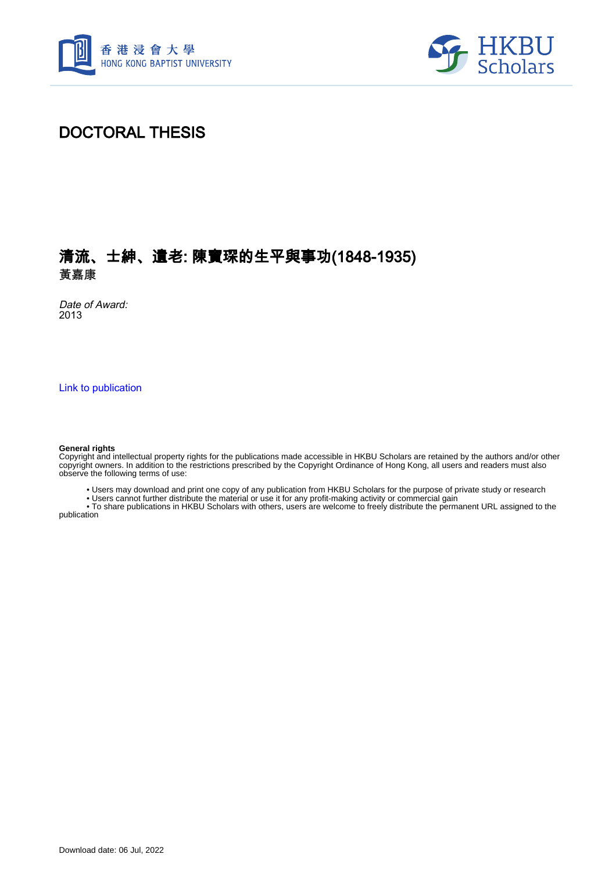



### DOCTORAL THESIS

### 清流、士紳、遺老: 陳寶琛的生平與事功(1848-1935) 黃嘉康

Date of Award: 2013

[Link to publication](https://scholars.hkbu.edu.hk/en/studentTheses/7ee4dbe1-dac0-4bde-adc2-c7154448b209)

#### **General rights**

Copyright and intellectual property rights for the publications made accessible in HKBU Scholars are retained by the authors and/or other copyright owners. In addition to the restrictions prescribed by the Copyright Ordinance of Hong Kong, all users and readers must also observe the following terms of use:

• Users may download and print one copy of any publication from HKBU Scholars for the purpose of private study or research

• Users cannot further distribute the material or use it for any profit-making activity or commercial gain

 • To share publications in HKBU Scholars with others, users are welcome to freely distribute the permanent URL assigned to the publication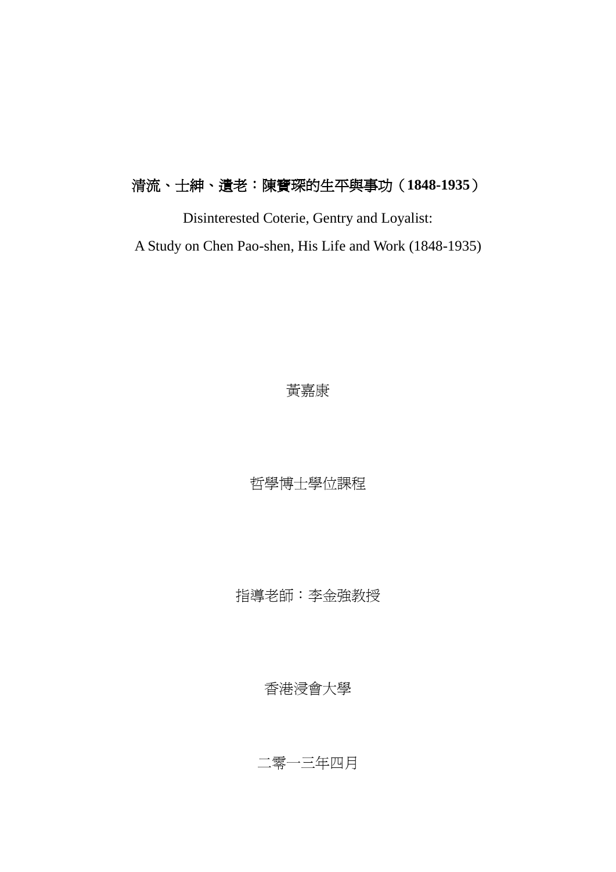## 清流、士紳、遺老:陳寶琛的生平與事功(**1848-1935**)

Disinterested Coterie, Gentry and Loyalist: A Study on Chen Pao-shen, His Life and Work (1848-1935)

黃嘉康

哲學博士學位課程

指導老師:李金強教授

香港浸會大學

二零一三年四月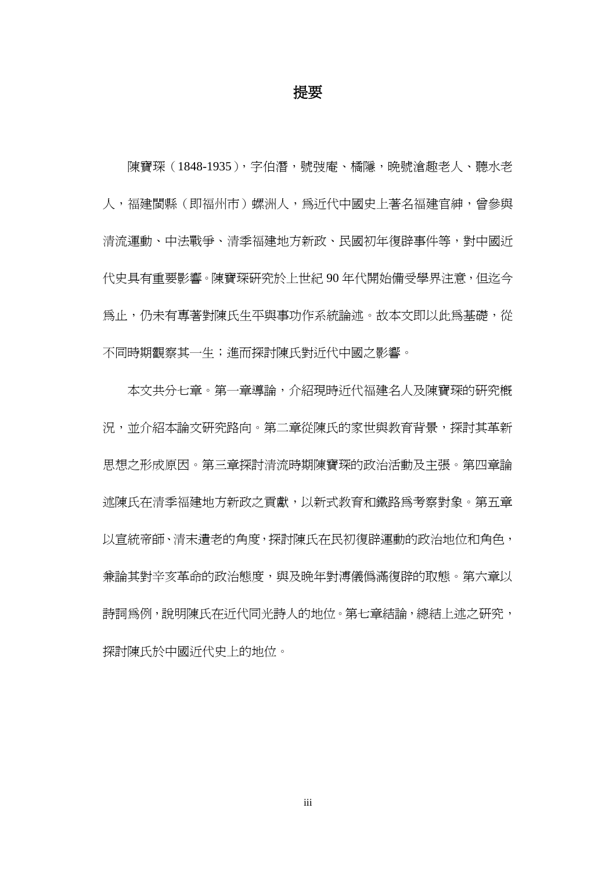#### 提要

陳寶琛(1848-1935),字伯潛,號弢庵、橘隱,晩號滄趣老人、聽水老 人,福建閩縣(即福州市)螺洲人,為沂代中國史上著名福建官紳,曾參與 清流運動、中法戰爭、清季福建地方新政、民國初年復辟事件等,對中國近 代史具有重要影響。陳寶琛研究於上世紀 90 年代開始備受學界注意,但迄今 爲止,仍未有專著對陳氏生平與事功作系統論述。故本文即以此爲基礎,從 不同時期觀察其一生;進而探討陳氏對近代中國之影響。

本文共分七章。第一章導論,介紹現時近代福建名人及陳寶琛的研究概 況,並介紹本論文研究路向。第二章從陳氏的家世與教育背景,探討其革新 思想之形成原因。第三章探討清流時期陳寶琛的政治活動及主張。第四章論 述陳氏在清季福建地方新政之貢獻,以新式教育和鐵路爲考察對象。第五章 以宣統帝師、清末遺老的角度,探討陳氏在民初復辟運動的政治地位和角色, 兼論其對辛亥革命的政治態度,與及晩年對溥儀僞滿復辟的取態。第六章以 詩詞為例,說明陳氏在近代同光詩人的地位。第七章結論,總結上述之研究, 探討陳氏於中國近代史上的地位。

iii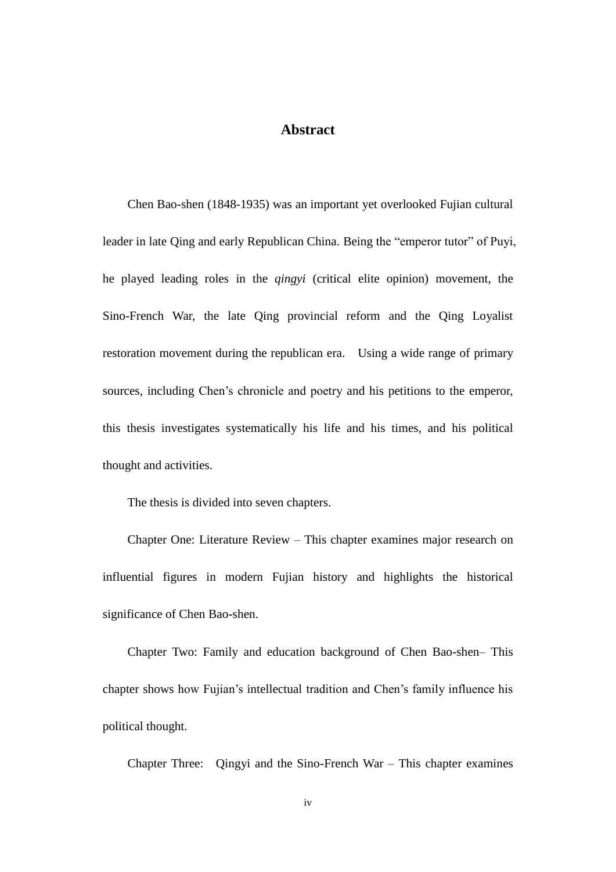#### **Abstract**

Chen Bao-shen (1848-1935) was an important yet overlooked Fujian cultural leader in late Qing and early Republican China. Being the "emperor tutor" of Puyi, he played leading roles in the *qingyi* (critical elite opinion) movement, the Sino-French War, the late Qing provincial reform and the Qing Loyalist restoration movement during the republican era. Using a wide range of primary sources, including Chen's chronicle and poetry and his petitions to the emperor, this thesis investigates systematically his life and his times, and his political thought and activities.

The thesis is divided into seven chapters.

Chapter One: Literature Review – This chapter examines major research on influential figures in modern Fujian history and highlights the historical significance of Chen Bao-shen.

Chapter Two: Family and education background of Chen Bao-shen– This chapter shows how Fujian's intellectual tradition and Chen's family influence his political thought.

Chapter Three: Qingyi and the Sino-French War – This chapter examines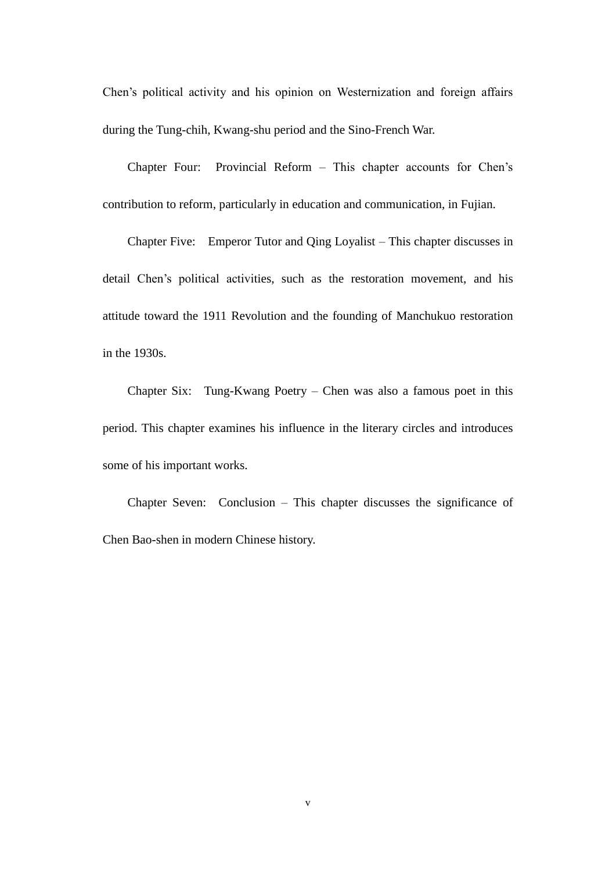Chen's political activity and his opinion on Westernization and foreign affairs during the Tung-chih, Kwang-shu period and the Sino-French War.

Chapter Four: Provincial Reform – This chapter accounts for Chen's contribution to reform, particularly in education and communication, in Fujian.

Chapter Five: Emperor Tutor and Qing Loyalist – This chapter discusses in detail Chen's political activities, such as the restoration movement, and his attitude toward the 1911 Revolution and the founding of Manchukuo restoration in the 1930s.

Chapter Six: Tung-Kwang Poetry – Chen was also a famous poet in this period. This chapter examines his influence in the literary circles and introduces some of his important works.

Chapter Seven: Conclusion – This chapter discusses the significance of Chen Bao-shen in modern Chinese history.